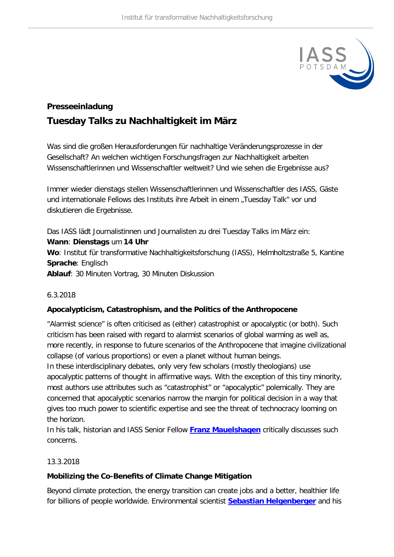

# **Presseeinladung Tuesday Talks zu Nachhaltigkeit im März**

Was sind die großen Herausforderungen für nachhaltige Veränderungsprozesse in der Gesellschaft? An welchen wichtigen Forschungsfragen zur Nachhaltigkeit arbeiten Wissenschaftlerinnen und Wissenschaftler weltweit? Und wie sehen die Ergebnisse aus?

Immer wieder dienstags stellen Wissenschaftlerinnen und Wissenschaftler des IASS, Gäste und internationale Fellows des Instituts ihre Arbeit in einem "Tuesday Talk" vor und diskutieren die Ergebnisse.

Das IASS lädt Journalistinnen und Journalisten zu drei Tuesday Talks im März ein: **Wann**: **Dienstags** um **14 Uhr**

**Wo**: Institut für transformative Nachhaltigkeitsforschung (IASS), Helmholtzstraße 5, Kantine **Sprache**: Englisch

**Ablauf**: 30 Minuten Vortrag, 30 Minuten Diskussion

## 6.3.2018

## **Apocalypticism, Catastrophism, and the Politics of the Anthropocene**

"Alarmist science" is often criticised as (either) catastrophist or apocalyptic (or both). Such criticism has been raised with regard to alarmist scenarios of global warming as well as, more recently, in response to future scenarios of the Anthropocene that imagine civilizational collapse (of various proportions) or even a planet without human beings.

In these interdisciplinary debates, only very few scholars (mostly theologians) use apocalyptic patterns of thought in affirmative ways. With the exception of this tiny minority, most authors use attributes such as "catastrophist" or "apocalyptic" polemically. They are concerned that apocalyptic scenarios narrow the margin for political decision in a way that gives too much power to scientific expertise and see the threat of technocracy looming on the horizon.

In his talk, historian and IASS Senior Fellow **[Franz Mauelshagen](http://www.iass-potsdam.de/de/menschen/franz-mauelshagen)** critically discusses such concerns.

#### 13.3.2018

## **Mobilizing the Co-Benefits of Climate Change Mitigation**

Beyond climate protection, the energy transition can create jobs and a better, healthier life for billions of people worldwide. Environmental scientist **[Sebastian Helgenberger](http://www.iass-potsdam.de/de/menschen/sebastian-helgenberger)** and his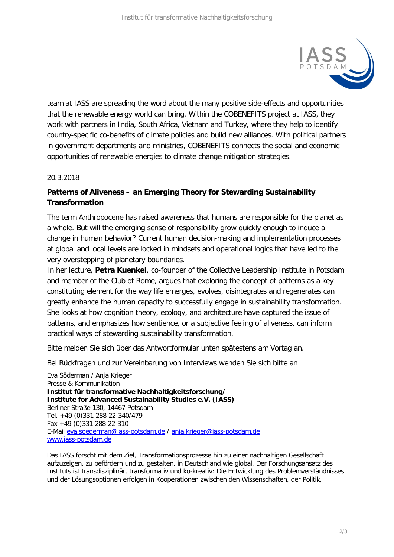

team at IASS are spreading the word about the many positive side-effects and opportunities that the renewable energy world can bring. Within the COBENEFITS project at IASS, they work with partners in India, South Africa, Vietnam and Turkey, where they help to identify country-specific co-benefits of climate policies and build new alliances. With political partners in government departments and ministries, COBENEFITS connects the social and economic opportunities of renewable energies to climate change mitigation strategies.

#### 20.3.2018

## **Patterns of Aliveness – an Emerging Theory for Stewarding Sustainability Transformation**

The term Anthropocene has raised awareness that humans are responsible for the planet as a whole. But will the emerging sense of responsibility grow quickly enough to induce a change in human behavior? Current human decision-making and implementation processes at global and local levels are locked in mindsets and operational logics that have led to the very overstepping of planetary boundaries.

In her lecture, **Petra Kuenkel**, co-founder of the Collective Leadership Institute in Potsdam and member of the Club of Rome, argues that exploring the concept of patterns as a key constituting element for the way life emerges, evolves, disintegrates and regenerates can greatly enhance the human capacity to successfully engage in sustainability transformation. She looks at how cognition theory, ecology, and architecture have captured the issue of patterns, and emphasizes how sentience, or a subjective feeling of aliveness, can inform practical ways of stewarding sustainability transformation.

Bitte melden Sie sich über das Antwortformular unten spätestens am Vortag an.

Bei Rückfragen und zur Vereinbarung von Interviews wenden Sie sich bitte an

Eva Söderman / Anja Krieger Presse & Kommunikation **Institut für transformative Nachhaltigkeitsforschung/ Institute for Advanced Sustainability Studies e.V. (IASS)** Berliner Straße 130, 14467 Potsdam Tel. +49 (0)331 288 22-340/479 Fax +49 (0)331 288 22-310 E-Mail [eva.soederman@iass-potsdam.de](mailto:eva.soederman@iass-potsdam.de) / [anja.krieger@iass-potsdam.de](mailto:anja.krieger@iass-potsdam.de) [www.iass-potsdam.de](http://www.iass-potsdam.de/)

Das IASS forscht mit dem Ziel, Transformationsprozesse hin zu einer nachhaltigen Gesellschaft aufzuzeigen, zu befördern und zu gestalten, in Deutschland wie global. Der Forschungsansatz des Instituts ist transdisziplinär, transformativ und ko-kreativ: Die Entwicklung des Problemverständnisses und der Lösungsoptionen erfolgen in Kooperationen zwischen den Wissenschaften, der Politik,